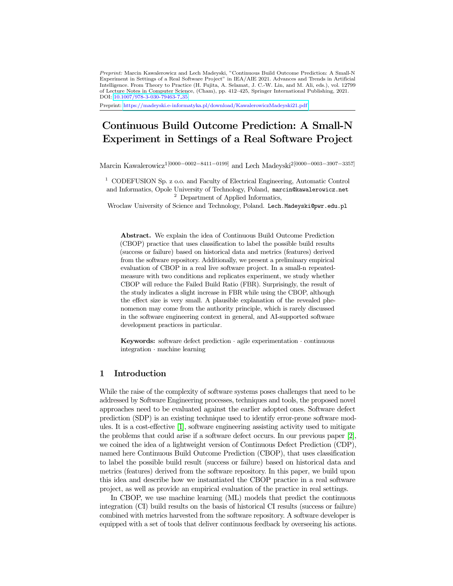Preprint: Marcin Kawalerowicz and Lech Madeyski, "Continuous Build Outcome Prediction: A Small-N Experiment in Settings of a Real Software Project" in IEA/AIE 2021. Advances and Trends in Artificial Intelligence. From Theory to Practice (H. Fujita, A. Selamat, J. C.-W. Lin, and M. Ali, eds.), vol. 12799 of Lecture Notes in Computer Science, (Cham), pp. 412–425, Springer International Publishing, 2021. DOI: [10.1007/978-3-030-79463-7](http://dx.doi.org/10.1007/978-3-030-79463-7_35) 35

Preprint: <https://madeyski.e-informatyka.pl/download/KawalerowiczMadeyski21.pdf>

# Continuous Build Outcome Prediction: A Small-N Experiment in Settings of a Real Software Project

Marcin Kawalerowicz<sup>1[0000–0002–8411–0199]</sup> and Lech Madeyski<sup>2[0000–0003–3907–3357]</sup>

<sup>1</sup> CODEFUSION Sp. z o.o. and Faculty of Electrical Engineering, Automatic Control and Informatics, Opole University of Technology, Poland, marcin@kawalerowicz.net <sup>2</sup> Department of Applied Informatics,

Wroclaw University of Science and Technology, Poland. Lech.Madeyski@pwr.edu.pl

Abstract. We explain the idea of Continuous Build Outcome Prediction (CBOP) practice that uses classification to label the possible build results (success or failure) based on historical data and metrics (features) derived from the software repository. Additionally, we present a preliminary empirical evaluation of CBOP in a real live software project. In a small-n repeatedmeasure with two conditions and replicates experiment, we study whether CBOP will reduce the Failed Build Ratio (FBR). Surprisingly, the result of the study indicates a slight increase in FBR while using the CBOP, although the effect size is very small. A plausible explanation of the revealed phenomenon may come from the authority principle, which is rarely discussed in the software engineering context in general, and AI-supported software development practices in particular.

Keywords: software defect prediction  $\cdot$  agile experimentation  $\cdot$  continuous integration · machine learning

# 1 Introduction

While the raise of the complexity of software systems poses challenges that need to be addressed by Software Engineering processes, techniques and tools, the proposed novel approaches need to be evaluated against the earlier adopted ones. Software defect prediction (SDP) is an existing technique used to identify error-prone software modules. It is a cost-effective [\[1\]](#page-11-0), software engineering assisting activity used to mitigate the problems that could arise if a software defect occurs. In our previous paper [\[2\]](#page-11-1), we coined the idea of a lightweight version of Continuous Defect Prediction (CDP), named here Continuous Build Outcome Prediction (CBOP), that uses classification to label the possible build result (success or failure) based on historical data and metrics (features) derived from the software repository. In this paper, we build upon this idea and describe how we instantiated the CBOP practice in a real software project, as well as provide an empirical evaluation of the practice in real settings.

In CBOP, we use machine learning (ML) models that predict the continuous integration (CI) build results on the basis of historical CI results (success or failure) combined with metrics harvested from the software repository. A software developer is equipped with a set of tools that deliver continuous feedback by overseeing his actions.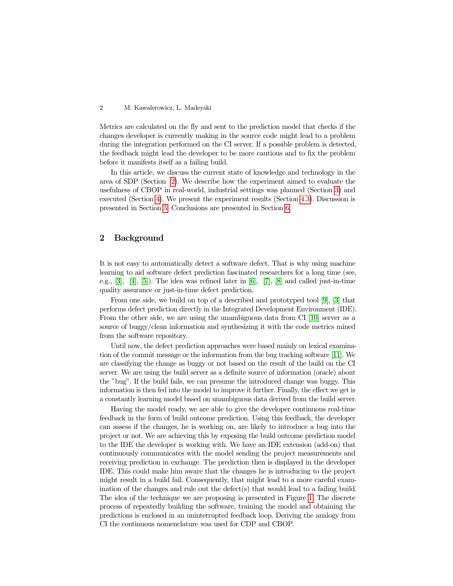Metrics are calculated on the fly and sent to the prediction model that checks if the changes developer is currently making in the source code might lead to a problem during the integration performed on the CI server. If a possible problem is detected, the feedback might lead the developer to be more cautious and to fix the problem before it manifests itself as a failing build.

In this article, we discuss the current state of knowledge and technology in the area of SDP (Section [2\)](#page-1-0). We describe how the experiment aimed to evaluate the usefulness of CBOP in real-world, industrial settings was planned (Section [3\)](#page-2-0) and executed (Section [4\)](#page-5-0). We present the experiment results (Section [4.3\)](#page-6-0). Discussion is presented in Section [5.](#page-10-0) Conclusions are presented in Section [6.](#page-10-1)

# <span id="page-1-0"></span>2 Background

It is not easy to automatically detect a software defect. That is why using machine learning to aid software defect prediction fascinated researchers for a long time (see, e.g., [\[3\]](#page-11-2), [\[4\]](#page-11-3), [\[5\]](#page-11-4)). The idea was refined later in [\[6\]](#page-11-5), [\[7\]](#page-11-6), [\[8\]](#page-11-7) and called just-in-time quality assurance or just-in-time defect prediction.

From one side, we build on top of a described and prototyped tool [\[9\]](#page-12-0), [\[3\]](#page-11-2) that performs defect prediction directly in the Integrated Development Environment (IDE). From the other side, we are using the unambiguous data from CI [\[10\]](#page-12-1) server as a source of buggy/clean information and synthesizing it with the code metrics mined from the software repository.

Until now, the defect prediction approaches were based mainly on lexical examination of the commit message or the information from the bug tracking software [\[11\]](#page-12-2). We are classifying the change as buggy or not based on the result of the build on the CI server. We are using the build server as a definite source of information (oracle) about the "bug". If the build fails, we can presume the introduced change was buggy. This information is then fed into the model to improve it further. Finally, the effect we get is a constantly learning model based on unambiguous data derived from the build server.

Having the model ready, we are able to give the developer continuous real-time feedback in the form of build outcome prediction. Using this feedback, the developer can assess if the changes, he is working on, are likely to introduce a bug into the project or not. We are achieving this by exposing the build outcome prediction model to the IDE the developer is working with. We have an IDE extension (add-on) that continuously communicates with the model sending the project measurements and receiving prediction in exchange. The prediction then is displayed in the developer IDE. This could make him aware that the changes he is introducing to the project might result in a build fail. Consequently, that might lead to a more careful examination of the changes and rule out the defect(s) that would lead to a failing build. The idea of the technique we are proposing is presented in Figure [1.](#page-2-1) The discrete process of repeatedly building the software, training the model and obtaining the predictions is enclosed in an uninterrupted feedback loop. Deriving the analogy from CI the continuous nomenclature was used for CDP and CBOP.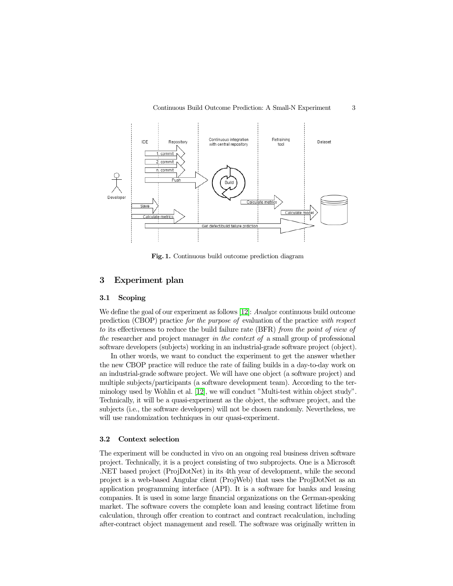

<span id="page-2-1"></span>Fig. 1. Continuous build outcome prediction diagram

# <span id="page-2-0"></span>3 Experiment plan

#### 3.1 Scoping

We define the goal of our experiment as follows [\[12\]](#page-12-3): Analyze continuous build outcome prediction (CBOP) practice for the purpose of evaluation of the practice with respect to its effectiveness to reduce the build failure rate (BFR) from the point of view of the researcher and project manager in the context of a small group of professional software developers (subjects) working in an industrial-grade software project (object).

In other words, we want to conduct the experiment to get the answer whether the new CBOP practice will reduce the rate of failing builds in a day-to-day work on an industrial-grade software project. We will have one object (a software project) and multiple subjects/participants (a software development team). According to the terminology used by Wohlin et al. [\[12\]](#page-12-3), we will conduct "Multi-test within object study". Technically, it will be a quasi-experiment as the object, the software project, and the subjects (i.e., the software developers) will not be chosen randomly. Nevertheless, we will use randomization techniques in our quasi-experiment.

#### <span id="page-2-2"></span>3.2 Context selection

The experiment will be conducted in vivo on an ongoing real business driven software project. Technically, it is a project consisting of two subprojects. One is a Microsoft .NET based project (ProjDotNet) in its 4th year of development, while the second project is a web-based Angular client (ProjWeb) that uses the ProjDotNet as an application programming interface (API). It is a software for banks and leasing companies. It is used in some large financial organizations on the German-speaking market. The software covers the complete loan and leasing contract lifetime from calculation, through offer creation to contract and contract recalculation, including after-contract object management and resell. The software was originally written in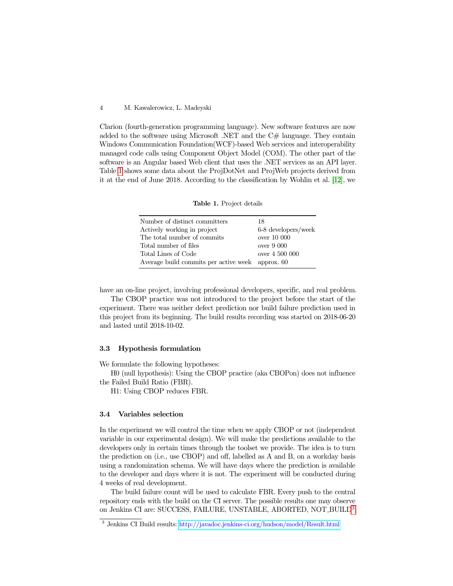Clarion (fourth-generation programming language). New software features are now added to the software using Microsoft .NET and the  $C#$  language. They contain Windows Communication Foundation(WCF)-based Web services and interoperability managed code calls using Component Object Model (COM). The other part of the software is an Angular based Web client that uses the .NET services as an API layer. Table [1](#page-3-0) shows some data about the ProjDotNet and ProjWeb projects derived from it at the end of June 2018. According to the classification by Wohlin et al. [\[12\]](#page-12-3), we

<span id="page-3-0"></span>Table 1. Project details

| 18                                               |
|--------------------------------------------------|
| 6-8 developers/week                              |
| over 10 000                                      |
| over 9000                                        |
| over 4 500 000                                   |
| Average build commits per active week approx. 60 |
|                                                  |

have an on-line project, involving professional developers, specific, and real problem.

The CBOP practice was not introduced to the project before the start of the experiment. There was neither defect prediction nor build failure prediction used in this project from its beginning. The build results recording was started on 2018-06-20 and lasted until 2018-10-02.

#### 3.3 Hypothesis formulation

We formulate the following hypotheses:

H0 (null hypothesis): Using the CBOP practice (aka CBOPon) does not influence the Failed Build Ratio (FBR).

H1: Using CBOP reduces FBR.

#### <span id="page-3-2"></span>3.4 Variables selection

In the experiment we will control the time when we apply CBOP or not (independent variable in our experimental design). We will make the predictions available to the developers only in certain times through the toolset we provide. The idea is to turn the prediction on (i.e., use CBOP) and off, labelled as A and B, on a workday basis using a randomization schema. We will have days where the prediction is available to the developer and days where it is not. The experiment will be conducted during 4 weeks of real development.

The build failure count will be used to calculate FBR. Every push to the central repository ends with the build on the CI server. The possible results one may observe on Jenkins CI are: SUCCESS, FAILURE, UNSTABLE, ABORTED, NOT BUILD<sup>[3](#page-3-1)</sup>.

<span id="page-3-1"></span><sup>3</sup> Jenkins CI Build results: <http://javadoc.jenkins-ci.org/hudson/model/Result.html>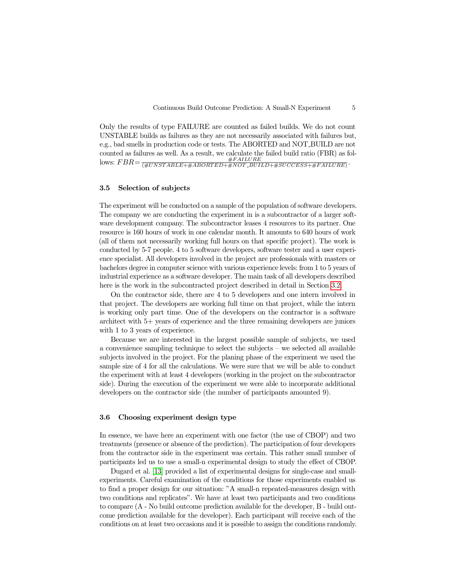Only the results of type FAILURE are counted as failed builds. We do not count UNSTABLE builds as failures as they are not necessarily associated with failures but, e.g., bad smells in production code or tests. The ABORTED and NOT BUILD are not counted as failures as well. As a result, we calculate the failed build ratio (FBR) as fol- $\frac{\#FAILURE}{\#UNSTABLE+\#ABORTED+\#NOT\_BUID+\#SUCCESS+\#FAILURE}.$ 

## 3.5 Selection of subjects

The experiment will be conducted on a sample of the population of software developers. The company we are conducting the experiment in is a subcontractor of a larger software development company. The subcontractor leases 4 resources to its partner. One resource is 160 hours of work in one calendar month. It amounts to 640 hours of work (all of them not necessarily working full hours on that specific project). The work is conducted by 5-7 people. 4 to 5 software developers, software tester and a user experience specialist. All developers involved in the project are professionals with masters or bachelors degree in computer science with various experience levels: from 1 to 5 years of industrial experience as a software developer. The main task of all developers described here is the work in the subcontracted project described in detail in Section [3.2.](#page-2-2)

On the contractor side, there are 4 to 5 developers and one intern involved in that project. The developers are working full time on that project, while the intern is working only part time. One of the developers on the contractor is a software architect with 5+ years of experience and the three remaining developers are juniors with 1 to 3 years of experience.

Because we are interested in the largest possible sample of subjects, we used a convenience sampling technique to select the subjects – we selected all available subjects involved in the project. For the planing phase of the experiment we used the sample size of 4 for all the calculations. We were sure that we will be able to conduct the experiment with at least 4 developers (working in the project on the subcontractor side). During the execution of the experiment we were able to incorporate additional developers on the contractor side (the number of participants amounted 9).

#### 3.6 Choosing experiment design type

In essence, we have here an experiment with one factor (the use of CBOP) and two treatments (presence or absence of the prediction). The participation of four developers from the contractor side in the experiment was certain. This rather small number of participants led us to use a small-n experimental design to study the effect of CBOP.

Dugard et al. [\[13\]](#page-12-4) provided a list of experimental designs for single-case and smallexperiments. Careful examination of the conditions for those experiments enabled us to find a proper design for our situation: "A small-n repeated-measures design with two conditions and replicates". We have at least two participants and two conditions to compare (A - No build outcome prediction available for the developer, B - build outcome prediction available for the developer). Each participant will receive each of the conditions on at least two occasions and it is possible to assign the conditions randomly.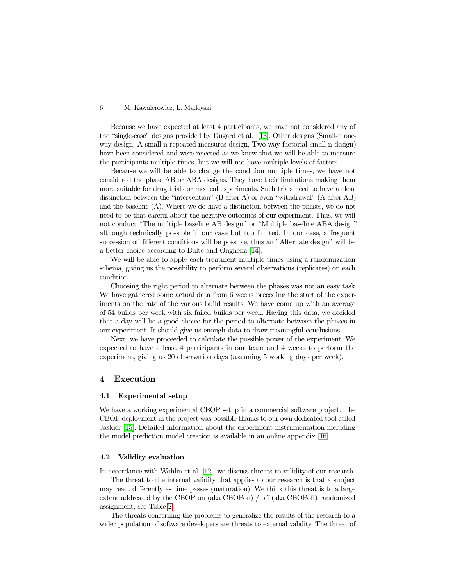Because we have expected at least 4 participants, we have not considered any of the "single-case" designs provided by Dugard et al. [\[13\]](#page-12-4). Other designs (Small-n oneway design, A small-n repeated-measures design, Two-way factorial small-n design) have been considered and were rejected as we knew that we will be able to measure the participants multiple times, but we will not have multiple levels of factors.

Because we will be able to change the condition multiple times, we have not considered the phase AB or ABA designs. They have their limitations making them more suitable for drug trials or medical experiments. Such trials need to have a clear distinction between the "intervention" (B after A) or even "withdrawal" (A after AB) and the baseline (A). Where we do have a distinction between the phases, we do not need to be that careful about the negative outcomes of our experiment. Thus, we will not conduct "The multiple baseline AB design" or "Multiple baseline ABA design" although technically possible in our case but too limited. In our case, a frequent succession of different conditions will be possible, thus an "Alternate design" will be a better choice according to Bulte and Onghena [\[14\]](#page-12-5).

We will be able to apply each treatment multiple times using a randomization schema, giving us the possibility to perform several observations (replicates) on each condition.

Choosing the right period to alternate between the phases was not an easy task. We have gathered some actual data from 6 weeks preceding the start of the experiments on the rate of the various build results. We have come up with an average of 54 builds per week with six failed builds per week. Having this data, we decided that a day will be a good choice for the period to alternate between the phases in our experiment. It should give us enough data to draw meaningful conclusions.

Next, we have proceeded to calculate the possible power of the experiment. We expected to have a least 4 participants in our team and 4 weeks to perform the experiment, giving us 20 observation days (assuming 5 working days per week).

# <span id="page-5-0"></span>4 Execution

#### 4.1 Experimental setup

We have a working experimental CBOP setup in a commercial software project. The CBOP deployment in the project was possible thanks to our own dedicated tool called Jaskier [\[15\]](#page-12-6). Detailed information about the experiment instrumentation including the model prediction model creation is available in an online appendix [\[16\]](#page-12-7).

### 4.2 Validity evaluation

In accordance with Wohlin et al. [\[12\]](#page-12-3), we discuss threats to validity of our research.

The threat to the internal validity that applies to our research is that a subject may react differently as time passes (maturation). We think this threat is to a large extent addressed by the CBOP on (aka CBOPon) / off (aka CBOPoff) randomized assignment, see Table [2.](#page-7-0)

The threats concerning the problems to generalize the results of the research to a wider population of software developers are threats to external validity. The threat of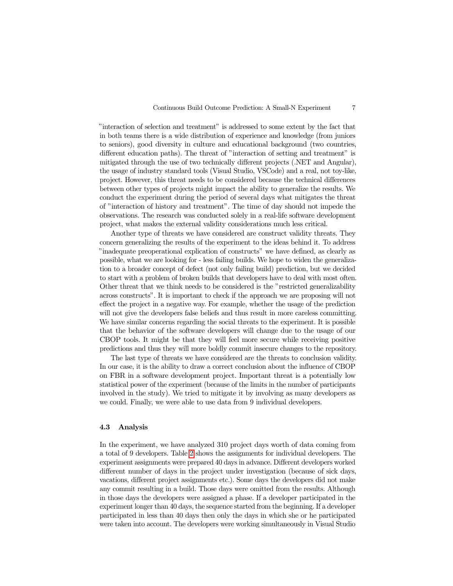"interaction of selection and treatment" is addressed to some extent by the fact that in both teams there is a wide distribution of experience and knowledge (from juniors to seniors), good diversity in culture and educational background (two countries, different education paths). The threat of "interaction of setting and treatment" is mitigated through the use of two technically different projects (.NET and Angular), the usage of industry standard tools (Visual Studio, VSCode) and a real, not toy-like, project. However, this threat needs to be considered because the technical differences between other types of projects might impact the ability to generalize the results. We conduct the experiment during the period of several days what mitigates the threat of "interaction of history and treatment". The time of day should not impede the observations. The research was conducted solely in a real-life software development project, what makes the external validity considerations much less critical.

Another type of threats we have considered are construct validity threats. They concern generalizing the results of the experiment to the ideas behind it. To address "inadequate preoperational explication of constructs" we have defined, as clearly as possible, what we are looking for - less failing builds. We hope to widen the generalization to a broader concept of defect (not only failing build) prediction, but we decided to start with a problem of broken builds that developers have to deal with most often. Other threat that we think needs to be considered is the "restricted generalizability across constructs". It is important to check if the approach we are proposing will not effect the project in a negative way. For example, whether the usage of the prediction will not give the developers false beliefs and thus result in more careless committing. We have similar concerns regarding the social threats to the experiment. It is possible that the behavior of the software developers will change due to the usage of our CBOP tools. It might be that they will feel more secure while receiving positive predictions and thus they will more boldly commit insecure changes to the repository.

The last type of threats we have considered are the threats to conclusion validity. In our case, it is the ability to draw a correct conclusion about the influence of CBOP on FBR in a software development project. Important threat is a potentially low statistical power of the experiment (because of the limits in the number of participants involved in the study). We tried to mitigate it by involving as many developers as we could. Finally, we were able to use data from 9 individual developers.

# <span id="page-6-0"></span>4.3 Analysis

In the experiment, we have analyzed 310 project days worth of data coming from a total of 9 developers. Table [2](#page-7-0) shows the assignments for individual developers. The experiment assignments were prepared 40 days in advance. Different developers worked different number of days in the project under investigation (because of sick days, vacations, different project assignments etc.). Some days the developers did not make any commit resulting in a build. Those days were omitted from the results. Although in those days the developers were assigned a phase. If a developer participated in the experiment longer than 40 days, the sequence started from the beginning. If a developer participated in less than 40 days then only the days in which she or he participated were taken into account. The developers were working simultaneously in Visual Studio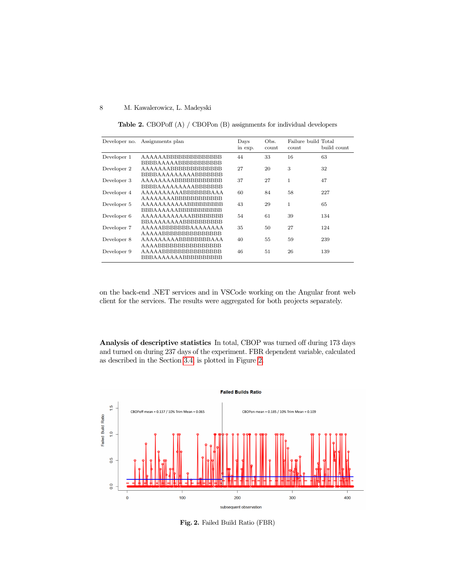<span id="page-7-0"></span>Table 2. CBOPoff (A) / CBOPon (B) assignments for individual developers

| Developer no. | Assignments plan                | Days<br>in exp. | Obs.<br>count | Failure build Total<br>count | build count |
|---------------|---------------------------------|-----------------|---------------|------------------------------|-------------|
| Developer 1   | AAAAAABBBBBBBBBBBBBB            | 44              | 33            | 16                           | 63          |
|               | BBBBAAAAABBBBBBBBBBB            |                 |               |                              |             |
| Developer 2   | AAAAAAABBBBBBBBBBBBB            | 27              | 20            | 3                            | 32          |
|               | BBBBAAAAAAAAABBBBBBB            |                 |               |                              |             |
| Developer 3   | <b>AAAAAAAABBBBBBBBBBBBBBBB</b> | 37              | 27            | 1                            | 47          |
|               | BBBBAAAAAAAAABBBBBBB            |                 |               |                              |             |
| Developer 4   | AAAAAAAAAABBBBBBBAAA            | 60              | 84            | 58                           | 227         |
|               | AAAAAAAABBBBBBBBBBBB            |                 |               |                              |             |
| Developer 5   | AAAAAAAAAAABBBBBBBBB            | 43              | 29            | 1                            | 65          |
|               | BBBAAAAAABBBBBBBBBBB            |                 |               |                              |             |
| Developer 6   | AAAAAAAAAAAABBBBBBBB            | 54              | 61            | 39                           | 134         |
|               | BBAAAAAAAABBBBBBBBBB            |                 |               |                              |             |
| Developer 7   | AAAAABBBBBBBAAAAAAAA            | 35              | 50            | 27                           | 124         |
|               | AAAAABBBBBBBBBBBBBBB            |                 |               |                              |             |
| Developer 8   | AAAAAAAAABBBBBBBBAAA            | 40              | 55            | 59                           | 239         |
|               | AAAABBBBBBBBBBBBBBBB            |                 |               |                              |             |
| Developer 9   | AAAAABBBBBBBBBBBBBBB            | 46              | 51            | 26                           | 139         |
|               | BBBAAAAAAABBBBBBBBBB            |                 |               |                              |             |

on the back-end .NET services and in VSCode working on the Angular front web client for the services. The results were aggregated for both projects separately.

Analysis of descriptive statistics In total, CBOP was turned off during 173 days and turned on during 237 days of the experiment. FBR dependent variable, calculated as described in the Section [3.4,](#page-3-2) is plotted in Figure [2.](#page-7-1)



<span id="page-7-1"></span>Fig. 2. Failed Build Ratio (FBR)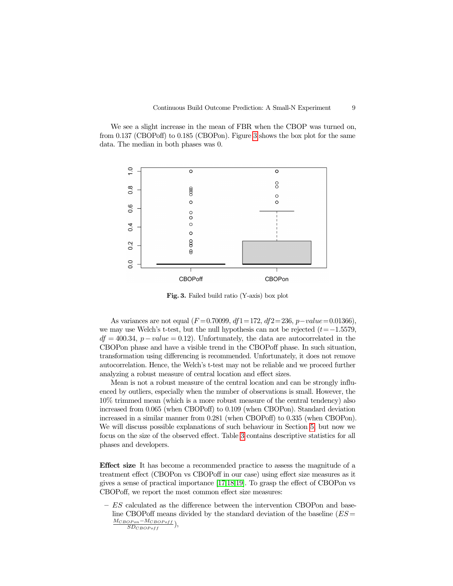We see a slight increase in the mean of FBR when the CBOP was turned on, from 0.137 (CBOPoff) to 0.185 (CBOPon). Figure [3](#page-8-0) shows the box plot for the same data. The median in both phases was 0.



<span id="page-8-0"></span>Fig. 3. Failed build ratio (Y-axis) box plot

As variances are not equal ( $F = 0.70099$ ,  $df1 = 172$ ,  $df2 = 236$ ,  $p-value = 0.01366$ ). we may use Welch's t-test, but the null hypothesis can not be rejected  $(t=-1.5579$ .  $df = 400.34$ ,  $p-value = 0.12$ . Unfortunately, the data are autocorrelated in the CBOPon phase and have a visible trend in the CBOPoff phase. In such situation, transformation using differencing is recommended. Unfortunately, it does not remove autocorrelation. Hence, the Welch's t-test may not be reliable and we proceed further analyzing a robust measure of central location and effect sizes.

Mean is not a robust measure of the central location and can be strongly influenced by outliers, especially when the number of observations is small. However, the 10% trimmed mean (which is a more robust measure of the central tendency) also increased from 0.065 (when CBOPoff) to 0.109 (when CBOPon). Standard deviation increased in a similar manner from 0.281 (when CBOPoff) to 0.335 (when CBOPon). We will discuss possible explanations of such behaviour in Section [5,](#page-10-0) but now we focus on the size of the observed effect. Table [3](#page-9-0) contains descriptive statistics for all phases and developers.

Effect size It has become a recommended practice to assess the magnitude of a treatment effect (CBOPon vs CBOPoff in our case) using effect size measures as it gives a sense of practical importance [\[17](#page-12-8)[,18](#page-12-9)[,19\]](#page-12-10). To grasp the effect of CBOPon vs CBOPoff, we report the most common effect size measures:

– ES calculated as the difference between the intervention CBOPon and baseline CBOPoff means divided by the standard deviation of the baseline  $(ES =$  $\frac{M_{CBOPon}-M_{CBOPoff}}{SD_{CDOD, M}}$  $SD_{CBOPoff}$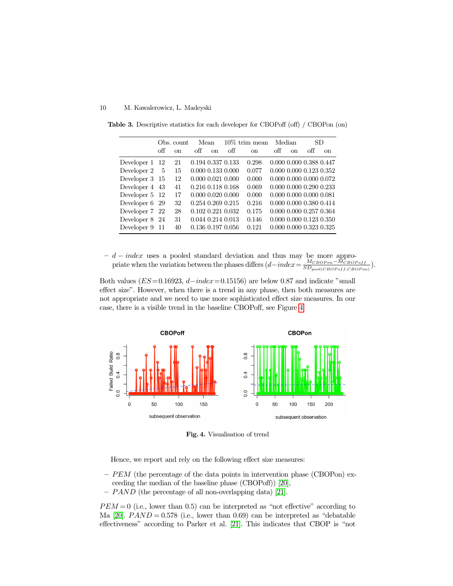<span id="page-9-0"></span>

|                | Obs. count  |             |                   | Mean     |     | $10\%$ trim mean |     | Median  | SD.                          |               |
|----------------|-------------|-------------|-------------------|----------|-----|------------------|-----|---------|------------------------------|---------------|
|                | $\alpha$ ff | $_{\rm on}$ | off               | $\alpha$ | off | <sub>on</sub>    | off | $^{on}$ | off                          | <sub>on</sub> |
| Developer 1 12 |             | 21          | 0.194 0.337 0.133 |          |     | 0.298            |     |         | 0.000 0.000 0.388 0.447      |               |
| Developer 2    | -5          | 15          | 0.000 0.133 0.000 |          |     | 0.077            |     |         | 0.000 0.000 0.123 0.352      |               |
| Developer 3 15 |             | 12          | 0.000 0.021 0.000 |          |     | 0.000            |     |         | 0.000 0.000 0.000 0.072      |               |
| Developer 4 43 |             | 41          | 0.216 0.118 0.168 |          |     | 0.069            |     |         | 0.000 0.000 0.290 0.233      |               |
| Developer 5 12 |             | 17          | 0.000 0.020 0.000 |          |     | 0.000            |     |         | $0.000\ 0.000\ 0.000\ 0.081$ |               |
| Developer 6 29 |             | 32          | 0.254 0.269 0.215 |          |     | 0.216            |     |         | 0.000 0.000 0.380 0.414      |               |
| Developer 7 22 |             | 28          | 0.102 0.221 0.032 |          |     | 0.175            |     |         | 0.000 0.000 0.257 0.364      |               |
| Developer 8 24 |             | 31          | 0.044 0.214 0.013 |          |     | 0.146            |     |         | 0.000 0.000 0.123 0.350      |               |
| Developer 9    | -11         | 40          | 0.136 0.197 0.056 |          |     | 0.121            |     |         | 0.000 0.000 0.323 0.325      |               |

Table 3. Descriptive statistics for each developer for CBOPoff (off) / CBOPon (on)

 $- d - index$  uses a pooled standard deviation and thus may be more appropriate when the variation between the phases differs  $(d - index = \frac{M_{CBOPon} - M_{CBOPoff}}{SD_{CBOPoff}})$  $\frac{^{MCBOPon-MCBOPoff}}{SD_{pool(CBOPoff, CBOPon)}}).$ 

Both values ( $ES=0.16923$ ,  $d-index=0.15156$ ) are below 0.87 and indicate "small" effect size". However, when there is a trend in any phase, then both measures are not appropriate and we need to use more sophisticated effect size measures. In our case, there is a visible trend in the baseline CBOPoff, see Figure [4.](#page-9-1)



<span id="page-9-1"></span>Fig. 4. Visualisation of trend

Hence, we report and rely on the following effect size measures:

- $-PEM$  (the percentage of the data points in intervention phase (CBOPon) exceeding the median of the baseline phase (CBOPoff)) [\[20\]](#page-12-11),
- PAND (the percentage of all non-overlapping data) [\[21\]](#page-12-12).

 $PEM = 0$  (i.e., lower than 0.5) can be interpreted as "not effective" according to Ma [\[20\]](#page-12-11).  $PAND = 0.578$  (i.e., lower than 0.69) can be interpreted as "debatable effectiveness" according to Parker et al. [\[21\]](#page-12-12). This indicates that CBOP is "not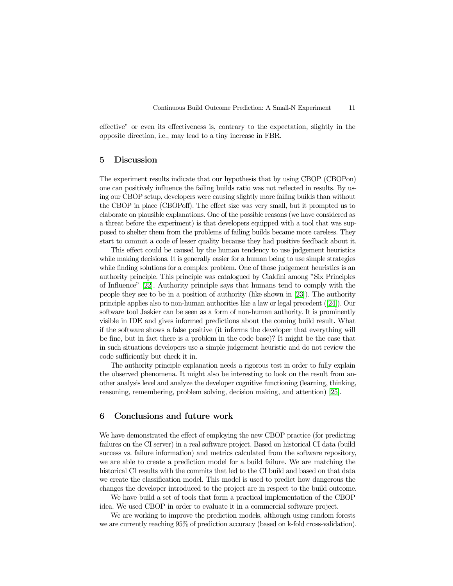effective" or even its effectiveness is, contrary to the expectation, slightly in the opposite direction, i.e., may lead to a tiny increase in FBR.

# <span id="page-10-0"></span>5 Discussion

The experiment results indicate that our hypothesis that by using CBOP (CBOPon) one can positively influence the failing builds ratio was not reflected in results. By using our CBOP setup, developers were causing slightly more failing builds than without the CBOP in place (CBOPoff). The effect size was very small, but it prompted us to elaborate on plausible explanations. One of the possible reasons (we have considered as a threat before the experiment) is that developers equipped with a tool that was supposed to shelter them from the problems of failing builds became more careless. They start to commit a code of lesser quality because they had positive feedback about it.

This effect could be caused by the human tendency to use judgement heuristics while making decisions. It is generally easier for a human being to use simple strategies while finding solutions for a complex problem. One of those judgement heuristics is an authority principle. This principle was catalogued by Cialdini among "Six Principles of Influence" [\[22\]](#page-12-13). Authority principle says that humans tend to comply with the people they see to be in a position of authority (like shown in [\[23\]](#page-12-14)). The authority principle applies also to non-human authorities like a law or legal precedent ([\[24\]](#page-12-15)). Our software tool Jaskier can be seen as a form of non-human authority. It is prominently visible in IDE and gives informed predictions about the coming build result. What if the software shows a false positive (it informs the developer that everything will be fine, but in fact there is a problem in the code base)? It might be the case that in such situations developers use a simple judgement heuristic and do not review the code sufficiently but check it in.

The authority principle explanation needs a rigorous test in order to fully explain the observed phenomena. It might also be interesting to look on the result from another analysis level and analyze the developer cognitive functioning (learning, thinking, reasoning, remembering, problem solving, decision making, and attention) [\[25\]](#page-12-16).

## <span id="page-10-1"></span>6 Conclusions and future work

We have demonstrated the effect of employing the new CBOP practice (for predicting failures on the CI server) in a real software project. Based on historical CI data (build success vs. failure information) and metrics calculated from the software repository, we are able to create a prediction model for a build failure. We are matching the historical CI results with the commits that led to the CI build and based on that data we create the classification model. This model is used to predict how dangerous the changes the developer introduced to the project are in respect to the build outcome.

We have build a set of tools that form a practical implementation of the CBOP idea. We used CBOP in order to evaluate it in a commercial software project.

We are working to improve the prediction models, although using random forests we are currently reaching 95% of prediction accuracy (based on k-fold cross-validation).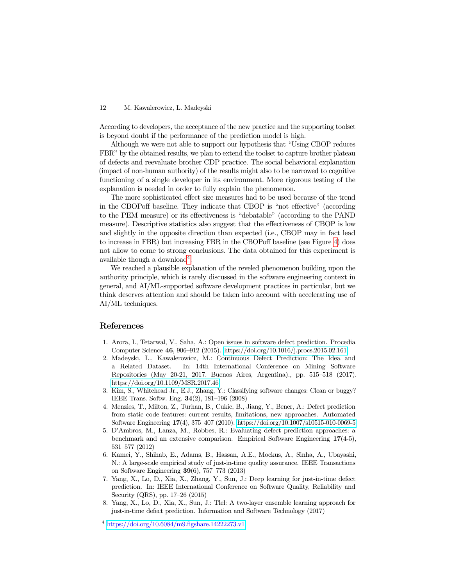According to developers, the acceptance of the new practice and the supporting toolset is beyond doubt if the performance of the prediction model is high.

Although we were not able to support our hypothesis that "Using CBOP reduces FBR" by the obtained results, we plan to extend the toolset to capture brother plateau of defects and reevaluate brother CDP practice. The social behavioral explanation (impact of non-human authority) of the results might also to be narrowed to cognitive functioning of a single developer in its environment. More rigorous testing of the explanation is needed in order to fully explain the phenomenon.

The more sophisticated effect size measures had to be used because of the trend in the CBOPoff baseline. They indicate that CBOP is "not effective" (according to the PEM measure) or its effectiveness is "debatable" (according to the PAND measure). Descriptive statistics also suggest that the effectiveness of CBOP is low and slightly in the opposite direction than expected (i.e., CBOP may in fact lead to increase in FBR) but increasing FBR in the CBOPoff baseline (see Figure [4\)](#page-9-1) does not allow to come to strong conclusions. The data obtained for this experiment is available though a download<sup>[4](#page-11-8)</sup>.

We reached a plausible explanation of the reveled phenomenon building upon the authority principle, which is rarely discussed in the software engineering context in general, and AI/ML-supported software development practices in particular, but we think deserves attention and should be taken into account with accelerating use of AI/ML techniques.

# References

- <span id="page-11-0"></span>1. Arora, I., Tetarwal, V., Saha, A.: Open issues in software defect prediction. Procedia Computer Science 46, 906–912 (2015).<https://doi.org/10.1016/j.procs.2015.02.161>
- <span id="page-11-1"></span>2. Madeyski, L., Kawalerowicz, M.: Continuous Defect Prediction: The Idea and a Related Dataset. In: 14th International Conference on Mining Software Repositories (May 20-21, 2017. Buenos Aires, Argentina)., pp. 515–518 (2017). <https://doi.org/10.1109/MSR.2017.46>
- <span id="page-11-2"></span>3. Kim, S., Whitehead Jr., E.J., Zhang, Y.: Classifying software changes: Clean or buggy? IEEE Trans. Softw. Eng. 34(2), 181–196 (2008)
- <span id="page-11-3"></span>4. Menzies, T., Milton, Z., Turhan, B., Cukic, B., Jiang, Y., Bener, A.: Defect prediction from static code features: current results, limitations, new approaches. Automated Software Engineering 17(4), 375–407 (2010).<https://doi.org/10.1007/s10515-010-0069-5>
- <span id="page-11-4"></span>5. D'Ambros, M., Lanza, M., Robbes, R.: Evaluating defect prediction approaches: a benchmark and an extensive comparison. Empirical Software Engineering 17(4-5), 531–577 (2012)
- <span id="page-11-5"></span>6. Kamei, Y., Shihab, E., Adams, B., Hassan, A.E., Mockus, A., Sinha, A., Ubayashi, N.: A large-scale empirical study of just-in-time quality assurance. IEEE Transactions on Software Engineering 39(6), 757–773 (2013)
- <span id="page-11-6"></span>7. Yang, X., Lo, D., Xia, X., Zhang, Y., Sun, J.: Deep learning for just-in-time defect prediction. In: IEEE International Conference on Software Quality, Reliability and Security (QRS), pp. 17–26 (2015)
- <span id="page-11-7"></span>8. Yang, X., Lo, D., Xia, X., Sun, J.: Tlel: A two-layer ensemble learning approach for just-in-time defect prediction. Information and Software Technology (2017)

<span id="page-11-8"></span><sup>4</sup> <https://doi.org/10.6084/m9.figshare.14222273.v1>